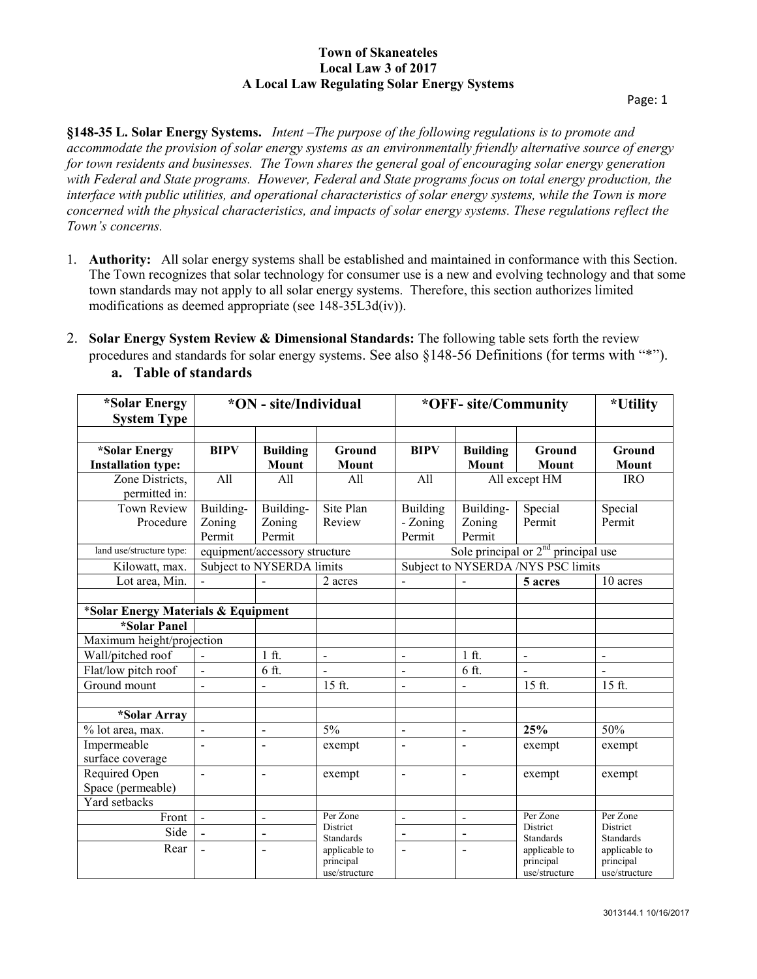**§148-35 L. Solar Energy Systems.** *Intent –The purpose of the following regulations is to promote and accommodate the provision of solar energy systems as an environmentally friendly alternative source of energy for town residents and businesses. The Town shares the general goal of encouraging solar energy generation with Federal and State programs. However, Federal and State programs focus on total energy production, the interface with public utilities, and operational characteristics of solar energy systems, while the Town is more concerned with the physical characteristics, and impacts of solar energy systems. These regulations reflect the Town's concerns.*

- 1. **Authority:** All solar energy systems shall be established and maintained in conformance with this Section. The Town recognizes that solar technology for consumer use is a new and evolving technology and that some town standards may not apply to all solar energy systems. Therefore, this section authorizes limited modifications as deemed appropriate (see 148-35L3d(iv)).
- 2. **Solar Energy System Review & Dimensional Standards:** The following table sets forth the review procedures and standards for solar energy systems. See also §148-56 Definitions (for terms with "\*").

| *Solar Energy<br><b>System Type</b>        | *ON - site/Individual         |                               |                                                                                         | *OFF- site/Community                  |                               |                                                                                         | *Utility                                    |
|--------------------------------------------|-------------------------------|-------------------------------|-----------------------------------------------------------------------------------------|---------------------------------------|-------------------------------|-----------------------------------------------------------------------------------------|---------------------------------------------|
| *Solar Energy<br><b>Installation type:</b> | <b>BIPV</b>                   | <b>Building</b><br>Mount      | Ground<br>Mount                                                                         | <b>BIPV</b>                           | <b>Building</b><br>Mount      | Ground<br>Mount                                                                         | Ground<br>Mount                             |
| Zone Districts,<br>permitted in:           | All                           | All                           | All                                                                                     | All                                   | All except HM<br><b>IRO</b>   |                                                                                         |                                             |
| <b>Town Review</b><br>Procedure            | Building-<br>Zoning<br>Permit | Building-<br>Zoning<br>Permit | Site Plan<br>Review                                                                     | Building<br>- Zoning<br>Permit        | Building-<br>Zoning<br>Permit | Special<br>Permit                                                                       | Special<br>Permit                           |
| land use/structure type:                   | equipment/accessory structure |                               |                                                                                         | Sole principal or $2nd$ principal use |                               |                                                                                         |                                             |
| Kilowatt, max.                             | Subject to NYSERDA limits     |                               |                                                                                         | Subject to NYSERDA /NYS PSC limits    |                               |                                                                                         |                                             |
| Lot area, Min.                             |                               |                               | 2 acres                                                                                 | $\blacksquare$                        | $\frac{1}{2}$                 | 5 acres                                                                                 | 10 acres                                    |
| *Solar Energy Materials & Equipment        |                               |                               |                                                                                         |                                       |                               |                                                                                         |                                             |
| *Solar Panel                               |                               |                               |                                                                                         |                                       |                               |                                                                                         |                                             |
| Maximum height/projection                  |                               |                               |                                                                                         |                                       |                               |                                                                                         |                                             |
| Wall/pitched roof                          | $\overline{a}$                | $1$ ft.                       | $\blacksquare$                                                                          | $\mathbf{r}$                          | $1$ ft.                       | $\blacksquare$                                                                          | $\overline{a}$                              |
| Flat/low pitch roof                        | $\overline{a}$                | 6 ft.                         | $\overline{a}$                                                                          | $\overline{\phantom{a}}$              | 6 ft.                         |                                                                                         |                                             |
| Ground mount                               |                               |                               | 15 ft.                                                                                  | $\overline{a}$                        | $\overline{a}$                | 15 ft.                                                                                  | 15 ft.                                      |
| *Solar Array                               |                               |                               |                                                                                         |                                       |                               |                                                                                         |                                             |
| % lot area, max.                           |                               | $\overline{a}$                | 5%                                                                                      | $\blacksquare$                        | $\blacksquare$                | 25%                                                                                     | 50%                                         |
| Impermeable<br>surface coverage            |                               | $\overline{a}$                | exempt                                                                                  | $\overline{\phantom{a}}$              | $\blacksquare$                | exempt                                                                                  | exempt                                      |
| Required Open<br>Space (permeable)         | $\overline{a}$                | $\overline{a}$                | exempt                                                                                  | $\overline{a}$                        | $\sim$                        | exempt                                                                                  | exempt                                      |
| Yard setbacks                              |                               |                               |                                                                                         |                                       |                               |                                                                                         |                                             |
| Front                                      | $\mathbf{v}$                  | $\overline{a}$                | Per Zone<br>District<br><b>Standards</b><br>applicable to<br>principal<br>use/structure | $\tilde{\phantom{a}}$                 | $\sim$                        | Per Zone<br>District<br><b>Standards</b><br>applicable to<br>principal<br>use/structure | Per Zone                                    |
| Side                                       | $\overline{a}$                | $\blacksquare$                |                                                                                         | $\overline{\phantom{a}}$              | $\overline{\phantom{a}}$      |                                                                                         | District<br><b>Standards</b>                |
| Rear                                       | $\overline{a}$                | $\overline{a}$                |                                                                                         | $\blacksquare$                        | $\blacksquare$                |                                                                                         | applicable to<br>principal<br>use/structure |

**a. Table of standards**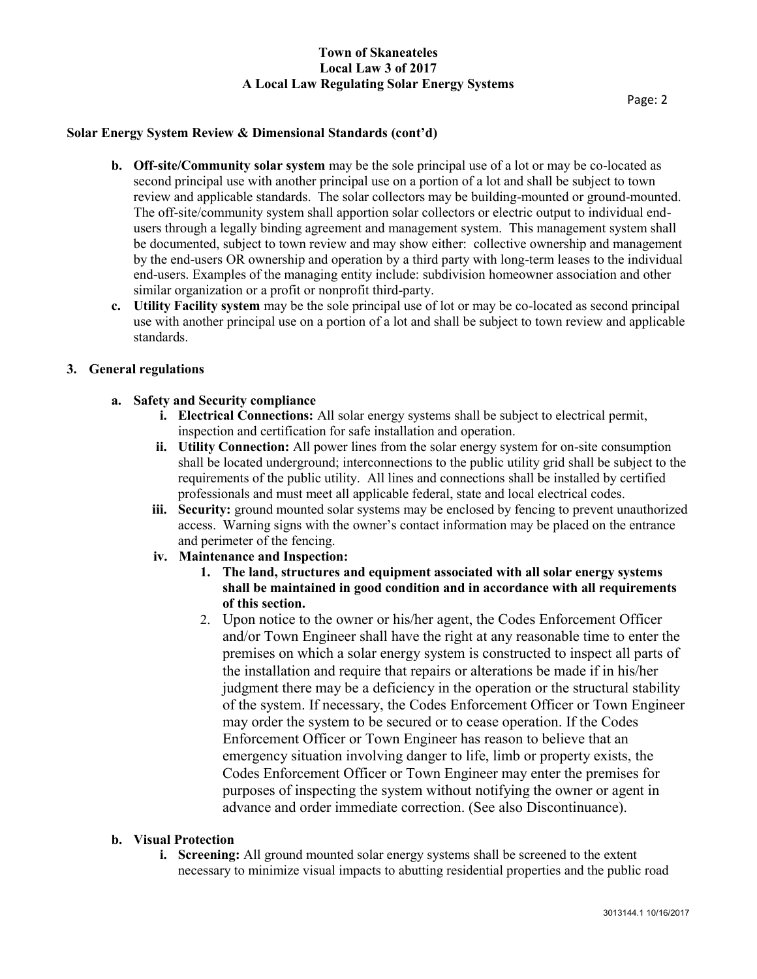## **Solar Energy System Review & Dimensional Standards (cont'd)**

- **b. Off-site/Community solar system** may be the sole principal use of a lot or may be co-located as second principal use with another principal use on a portion of a lot and shall be subject to town review and applicable standards. The solar collectors may be building-mounted or ground-mounted. The off-site/community system shall apportion solar collectors or electric output to individual endusers through a legally binding agreement and management system. This management system shall be documented, subject to town review and may show either: collective ownership and management by the end-users OR ownership and operation by a third party with long-term leases to the individual end-users. Examples of the managing entity include: subdivision homeowner association and other similar organization or a profit or nonprofit third-party.
- **c. Utility Facility system** may be the sole principal use of lot or may be co-located as second principal use with another principal use on a portion of a lot and shall be subject to town review and applicable standards.

#### **3. General regulations**

## **a. Safety and Security compliance**

- **i. Electrical Connections:** All solar energy systems shall be subject to electrical permit, inspection and certification for safe installation and operation.
- **ii. Utility Connection:** All power lines from the solar energy system for on-site consumption shall be located underground; interconnections to the public utility grid shall be subject to the requirements of the public utility. All lines and connections shall be installed by certified professionals and must meet all applicable federal, state and local electrical codes.
- **iii. Security:** ground mounted solar systems may be enclosed by fencing to prevent unauthorized access. Warning signs with the owner's contact information may be placed on the entrance and perimeter of the fencing.
- **iv. Maintenance and Inspection:** 
	- **1. The land, structures and equipment associated with all solar energy systems shall be maintained in good condition and in accordance with all requirements of this section.**
	- 2. Upon notice to the owner or his/her agent, the Codes Enforcement Officer and/or Town Engineer shall have the right at any reasonable time to enter the premises on which a solar energy system is constructed to inspect all parts of the installation and require that repairs or alterations be made if in his/her judgment there may be a deficiency in the operation or the structural stability of the system. If necessary, the Codes Enforcement Officer or Town Engineer may order the system to be secured or to cease operation. If the Codes Enforcement Officer or Town Engineer has reason to believe that an emergency situation involving danger to life, limb or property exists, the Codes Enforcement Officer or Town Engineer may enter the premises for purposes of inspecting the system without notifying the owner or agent in advance and order immediate correction. (See also Discontinuance).

#### **b. Visual Protection**

**i. Screening:** All ground mounted solar energy systems shall be screened to the extent necessary to minimize visual impacts to abutting residential properties and the public road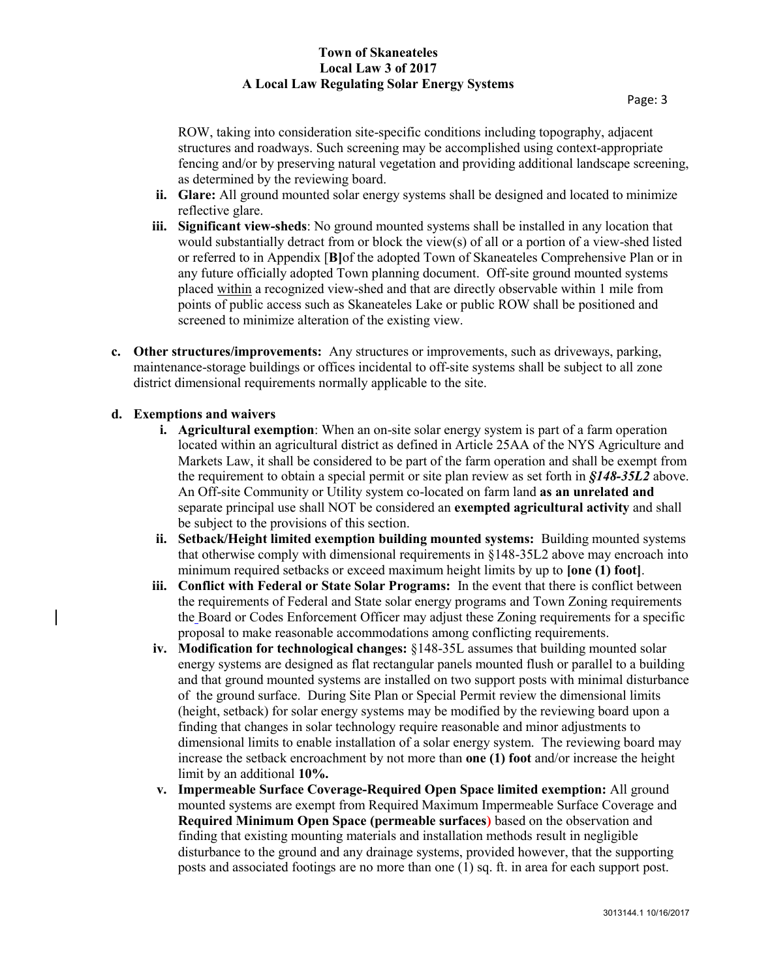ROW, taking into consideration site-specific conditions including topography, adjacent structures and roadways. Such screening may be accomplished using context-appropriate fencing and/or by preserving natural vegetation and providing additional landscape screening, as determined by the reviewing board.

- **ii. Glare:** All ground mounted solar energy systems shall be designed and located to minimize reflective glare.
- **iii. Significant view-sheds**: No ground mounted systems shall be installed in any location that would substantially detract from or block the view(s) of all or a portion of a view-shed listed or referred to in Appendix [**B]**of the adopted Town of Skaneateles Comprehensive Plan or in any future officially adopted Town planning document. Off-site ground mounted systems placed within a recognized view-shed and that are directly observable within 1 mile from points of public access such as Skaneateles Lake or public ROW shall be positioned and screened to minimize alteration of the existing view.
- **c. Other structures/improvements:** Any structures or improvements, such as driveways, parking, maintenance-storage buildings or offices incidental to off-site systems shall be subject to all zone district dimensional requirements normally applicable to the site.

## **d. Exemptions and waivers**

- **i. Agricultural exemption**: When an on-site solar energy system is part of a farm operation located within an agricultural district as defined in Article 25AA of the NYS Agriculture and Markets Law, it shall be considered to be part of the farm operation and shall be exempt from the requirement to obtain a special permit or site plan review as set forth in *§148-35L2* above. An Off-site Community or Utility system co-located on farm land **as an unrelated and** separate principal use shall NOT be considered an **exempted agricultural activity** and shall be subject to the provisions of this section.
- **ii. Setback/Height limited exemption building mounted systems:** Building mounted systems that otherwise comply with dimensional requirements in §148-35L2 above may encroach into minimum required setbacks or exceed maximum height limits by up to **[one (1) foot]**.
- **iii. Conflict with Federal or State Solar Programs:** In the event that there is conflict between the requirements of Federal and State solar energy programs and Town Zoning requirements the Board or Codes Enforcement Officer may adjust these Zoning requirements for a specific proposal to make reasonable accommodations among conflicting requirements.
- **iv. Modification for technological changes:** §148-35L assumes that building mounted solar energy systems are designed as flat rectangular panels mounted flush or parallel to a building and that ground mounted systems are installed on two support posts with minimal disturbance of the ground surface. During Site Plan or Special Permit review the dimensional limits (height, setback) for solar energy systems may be modified by the reviewing board upon a finding that changes in solar technology require reasonable and minor adjustments to dimensional limits to enable installation of a solar energy system. The reviewing board may increase the setback encroachment by not more than **one (1) foot** and/or increase the height limit by an additional **10%.**
- **v. Impermeable Surface Coverage-Required Open Space limited exemption:** All ground mounted systems are exempt from Required Maximum Impermeable Surface Coverage and **Required Minimum Open Space (permeable surfaces)** based on the observation and finding that existing mounting materials and installation methods result in negligible disturbance to the ground and any drainage systems, provided however, that the supporting posts and associated footings are no more than one (1) sq. ft. in area for each support post.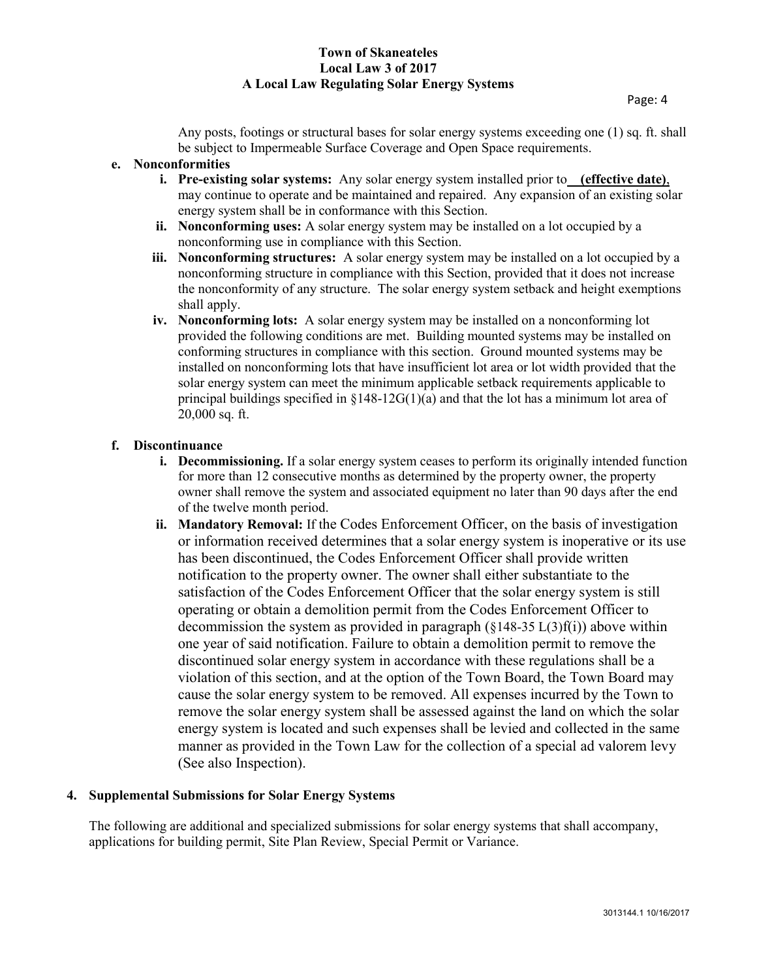Any posts, footings or structural bases for solar energy systems exceeding one (1) sq. ft. shall be subject to Impermeable Surface Coverage and Open Space requirements.

## **e. Nonconformities**

- **i. Pre-existing solar systems:** Any solar energy system installed prior to **(effective date)**, may continue to operate and be maintained and repaired. Any expansion of an existing solar energy system shall be in conformance with this Section.
- **ii. Nonconforming uses:** A solar energy system may be installed on a lot occupied by a nonconforming use in compliance with this Section.
- **iii. Nonconforming structures:** A solar energy system may be installed on a lot occupied by a nonconforming structure in compliance with this Section, provided that it does not increase the nonconformity of any structure. The solar energy system setback and height exemptions shall apply.
- **iv. Nonconforming lots:** A solar energy system may be installed on a nonconforming lot provided the following conditions are met. Building mounted systems may be installed on conforming structures in compliance with this section. Ground mounted systems may be installed on nonconforming lots that have insufficient lot area or lot width provided that the solar energy system can meet the minimum applicable setback requirements applicable to principal buildings specified in  $\S 148-12G(1)(a)$  and that the lot has a minimum lot area of 20,000 sq. ft.

## **f. Discontinuance**

- **i. Decommissioning.** If a solar energy system ceases to perform its originally intended function for more than 12 consecutive months as determined by the property owner, the property owner shall remove the system and associated equipment no later than 90 days after the end of the twelve month period.
- **ii. Mandatory Removal:** If the Codes Enforcement Officer, on the basis of investigation or information received determines that a solar energy system is inoperative or its use has been discontinued, the Codes Enforcement Officer shall provide written notification to the property owner. The owner shall either substantiate to the satisfaction of the Codes Enforcement Officer that the solar energy system is still operating or obtain a demolition permit from the Codes Enforcement Officer to decommission the system as provided in paragraph  $(\S 148-35 \text{ L}(3)\text{f}(i))$  above within one year of said notification. Failure to obtain a demolition permit to remove the discontinued solar energy system in accordance with these regulations shall be a violation of this section, and at the option of the Town Board, the Town Board may cause the solar energy system to be removed. All expenses incurred by the Town to remove the solar energy system shall be assessed against the land on which the solar energy system is located and such expenses shall be levied and collected in the same manner as provided in the Town Law for the collection of a special ad valorem levy (See also Inspection).

# **4. Supplemental Submissions for Solar Energy Systems**

The following are additional and specialized submissions for solar energy systems that shall accompany, applications for building permit, Site Plan Review, Special Permit or Variance.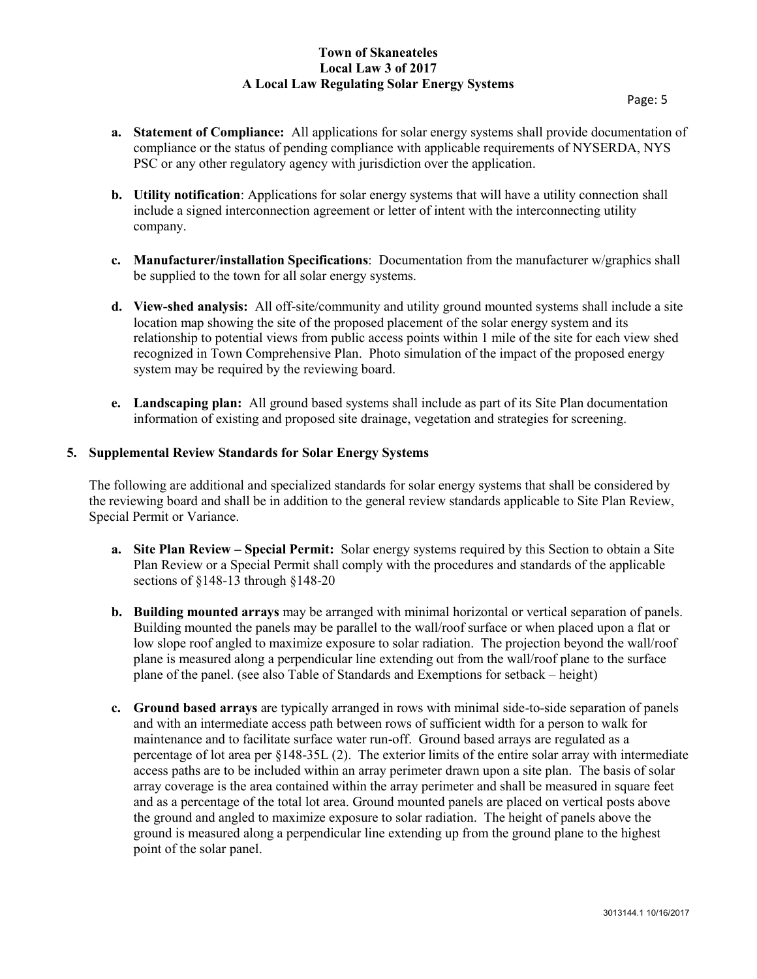- **a. Statement of Compliance:** All applications for solar energy systems shall provide documentation of compliance or the status of pending compliance with applicable requirements of NYSERDA, NYS PSC or any other regulatory agency with jurisdiction over the application.
- **b. Utility notification**: Applications for solar energy systems that will have a utility connection shall include a signed interconnection agreement or letter of intent with the interconnecting utility company.
- **c. Manufacturer/installation Specifications**: Documentation from the manufacturer w/graphics shall be supplied to the town for all solar energy systems.
- **d. View-shed analysis:** All off-site/community and utility ground mounted systems shall include a site location map showing the site of the proposed placement of the solar energy system and its relationship to potential views from public access points within 1 mile of the site for each view shed recognized in Town Comprehensive Plan. Photo simulation of the impact of the proposed energy system may be required by the reviewing board.
- **e. Landscaping plan:** All ground based systems shall include as part of its Site Plan documentation information of existing and proposed site drainage, vegetation and strategies for screening.

## **5. Supplemental Review Standards for Solar Energy Systems**

The following are additional and specialized standards for solar energy systems that shall be considered by the reviewing board and shall be in addition to the general review standards applicable to Site Plan Review, Special Permit or Variance.

- **a. Site Plan Review – Special Permit:** Solar energy systems required by this Section to obtain a Site Plan Review or a Special Permit shall comply with the procedures and standards of the applicable sections of §148-13 through §148-20
- **b. Building mounted arrays** may be arranged with minimal horizontal or vertical separation of panels. Building mounted the panels may be parallel to the wall/roof surface or when placed upon a flat or low slope roof angled to maximize exposure to solar radiation. The projection beyond the wall/roof plane is measured along a perpendicular line extending out from the wall/roof plane to the surface plane of the panel. (see also Table of Standards and Exemptions for setback – height)
- **c. Ground based arrays** are typically arranged in rows with minimal side-to-side separation of panels and with an intermediate access path between rows of sufficient width for a person to walk for maintenance and to facilitate surface water run-off. Ground based arrays are regulated as a percentage of lot area per §148-35L (2). The exterior limits of the entire solar array with intermediate access paths are to be included within an array perimeter drawn upon a site plan. The basis of solar array coverage is the area contained within the array perimeter and shall be measured in square feet and as a percentage of the total lot area. Ground mounted panels are placed on vertical posts above the ground and angled to maximize exposure to solar radiation. The height of panels above the ground is measured along a perpendicular line extending up from the ground plane to the highest point of the solar panel.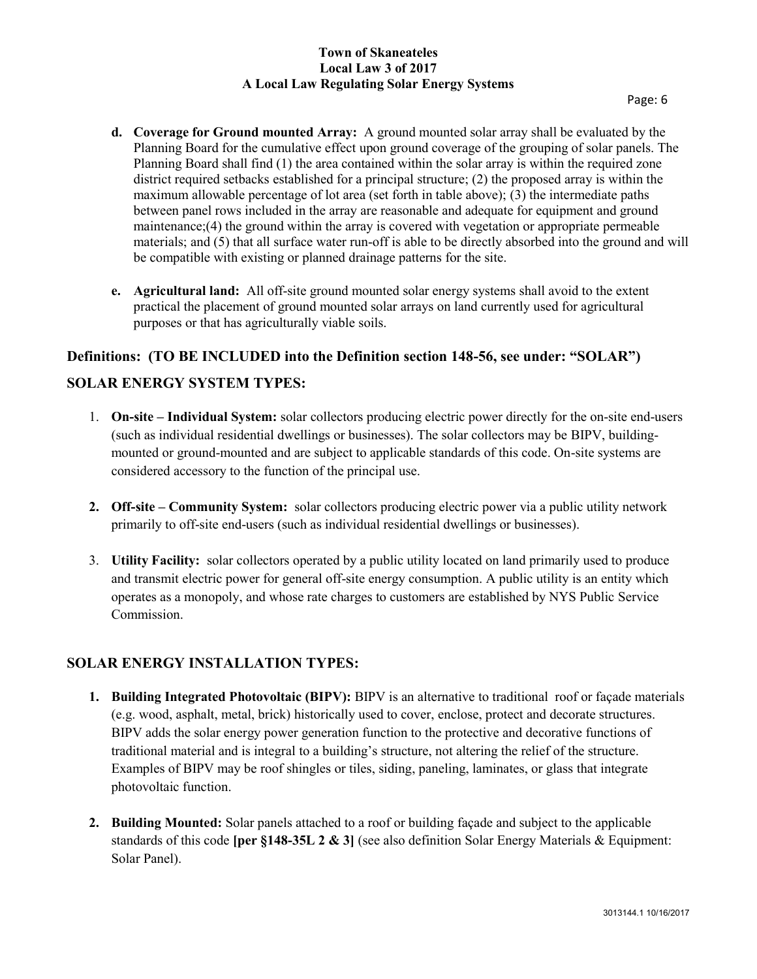- **d. Coverage for Ground mounted Array:** A ground mounted solar array shall be evaluated by the Planning Board for the cumulative effect upon ground coverage of the grouping of solar panels. The Planning Board shall find (1) the area contained within the solar array is within the required zone district required setbacks established for a principal structure; (2) the proposed array is within the maximum allowable percentage of lot area (set forth in table above); (3) the intermediate paths between panel rows included in the array are reasonable and adequate for equipment and ground maintenance;(4) the ground within the array is covered with vegetation or appropriate permeable materials; and (5) that all surface water run-off is able to be directly absorbed into the ground and will be compatible with existing or planned drainage patterns for the site.
- **e. Agricultural land:** All off-site ground mounted solar energy systems shall avoid to the extent practical the placement of ground mounted solar arrays on land currently used for agricultural purposes or that has agriculturally viable soils.

# **Definitions: (TO BE INCLUDED into the Definition section 148-56, see under: "SOLAR")**

# **SOLAR ENERGY SYSTEM TYPES:**

- 1. **On-site – Individual System:** solar collectors producing electric power directly for the on-site end-users (such as individual residential dwellings or businesses). The solar collectors may be BIPV, buildingmounted or ground-mounted and are subject to applicable standards of this code. On-site systems are considered accessory to the function of the principal use.
- **2. Off-site – Community System:** solar collectors producing electric power via a public utility network primarily to off-site end-users (such as individual residential dwellings or businesses).
- 3. **Utility Facility:** solar collectors operated by a public utility located on land primarily used to produce and transmit electric power for general off-site energy consumption. A public utility is an entity which operates as a monopoly, and whose rate charges to customers are established by NYS Public Service Commission.

## **SOLAR ENERGY INSTALLATION TYPES:**

- **1. Building Integrated Photovoltaic (BIPV):** BIPV is an alternative to traditional roof or façade materials (e.g. wood, asphalt, metal, brick) historically used to cover, enclose, protect and decorate structures. BIPV adds the solar energy power generation function to the protective and decorative functions of traditional material and is integral to a building's structure, not altering the relief of the structure. Examples of BIPV may be roof shingles or tiles, siding, paneling, laminates, or glass that integrate photovoltaic function.
- **2. Building Mounted:** Solar panels attached to a roof or building façade and subject to the applicable standards of this code **[per §148-35L 2 & 3]** (see also definition Solar Energy Materials & Equipment: Solar Panel).